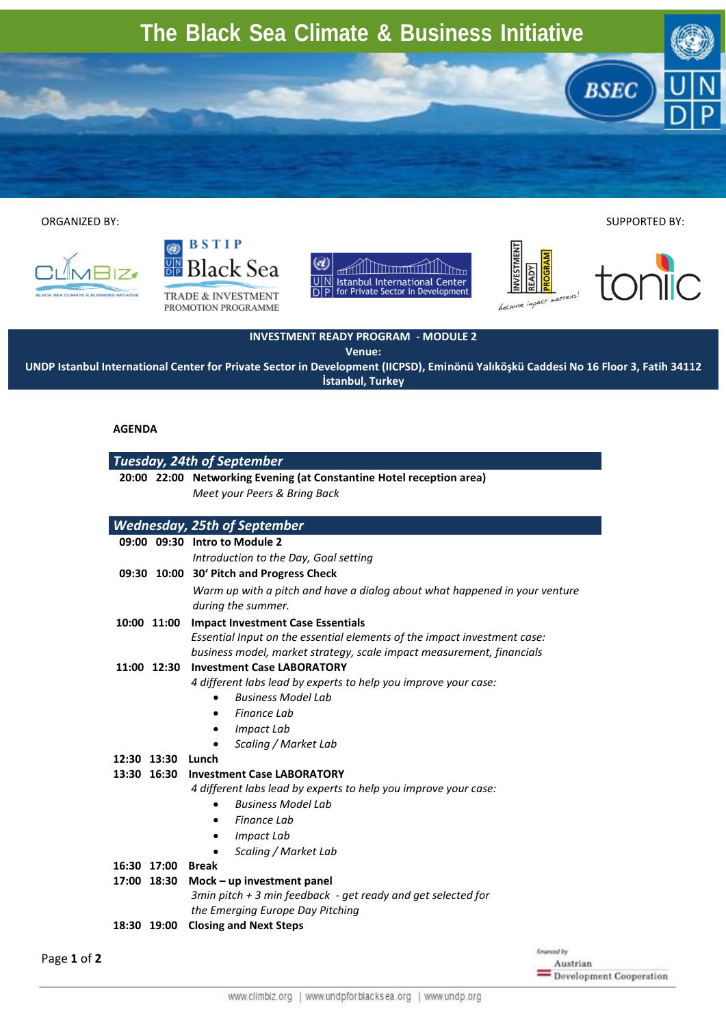## **The Black Sea Climate & Business Initiative**

 ORGANIZED BY: SUPPORTED BY:





TRADE & INVESTMENT PROMOTION PROGRAMME





**BSEC** 



**INVESTMENT READY PROGRAM - MODULE 2**

**Venue:**

**UNDP Istanbul International Center for Private Sector in Development (IICPSD), Eminönü Yalıköşkü Caddesi No 16 Floor 3, Fatih 34112 İstanbul, Turkey**

## **AGENDA**

## *Tuesday, 24th of September*  **20:00 22:00 Networking Evening (at Constantine Hotel reception area)** *Meet your Peers & Bring Back Wednesday, 25th of September*  **09:00 09:30 Intro to Module 2** *Introduction to the Day, Goal setting* **09:30 10:00 30' Pitch and Progress Check** *Warm up with a pitch and have a dialog about what happened in your venture during the summer.* **10:00 11:00 Impact Investment Case Essentials**  *Essential Input on the essential elements of the impact investment case: business model, market strategy, scale impact measurement, financials* **11:00 12:30 Investment Case LABORATORY** *4 different labs lead by experts to help you improve your case: Business Model Lab Finance Lab Impact Lab Scaling / Market Lab* **12:30 13:30 Lunch 13:30 16:30 Investment Case LABORATORY** *4 different labs lead by experts to help you improve your case: Business Model Lab Finance Lab Impact Lab Scaling / Market Lab* **16:30 17:00 Break 17:00 18:30 Mock – up investment panel** *3min pitch + 3 min feedback - get ready and get selected for the Emerging Europe Day Pitching*

**18:30 19:00 Closing and Next Steps**

Page **1** of **2**

inced by Austrian Development Cooperation